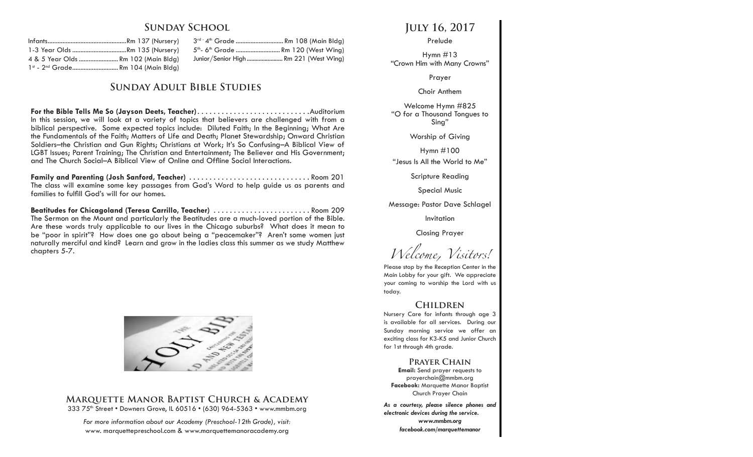## **Sunday School**

| 1-3 Year Olds Rm 135 (Nursery)                 |  |  |  |
|------------------------------------------------|--|--|--|
| 4 & 5 Year Olds  Rm 102 (Main Bldg)            |  |  |  |
| 1st - 2 <sup>nd</sup> Grade Rm 104 (Main Bldg) |  |  |  |

3<sup>rd -</sup> 4<sup>th</sup> Grade ............................... Rm 108 (Main Bldg) 5<sup>th</sup>- 6<sup>th</sup> Grade ............................. Rm 120 (West Wina) Junior/Senior High ........................ Rm 221 (West Wing)

# **Sunday Adult Bible Studies**

**For the Bible Tells Me So (Jayson Deets, Teacher)**. Auditorium In this session, we will look at a variety of topics that believers are challenged with from a biblical perspective. Some expected topics include: Diluted Faith; In the Beginning; What Are the Fundamentals of the Faith; Matters of Life and Death; Planet Stewardship; Onward Christian Soldiers–the Christian and Gun Rights; Christians at Work; It's So Confusing–A Biblical View of LGBT Issues; Parent Training; The Christian and Entertainment; The Believer and His Government; and The Church Social–A Biblical View of Online and Offline Social Interactions.

**Family and Parenting (Josh Sanford, Teacher)**. Room 201 The class will examine some key passages from God's Word to help guide us as parents and families to fulfill God's will for our homes.

Beatitudes for Chicagoland (Teresa Carrillo, Teacher) ............................ Room 209 The Sermon on the Mount and particularly the Beatitudes are a much-loved portion of the Bible. Are these words truly applicable to our lives in the Chicago suburbs? What does it mean to be "poor in spirit"? How does one go about being a "peacemaker"? Aren't some women just naturally merciful and kind? Learn and grow in the ladies class this summer as we study Matthew chapters 5-7.



### **Marquette Manor Baptist Church & Academy** 333 75<sup>th</sup> Street • Downers Grove, IL 60516 • (630) 964-5363 • www.mmbm.org

*For more information about our Academy (Preschool-12th Grade), visit:* www. marquettepreschool.com & www.marquettemanoracademy.org

# **July 16, 2017**

#### Prelude

Hymn #13 "Crown Him with Many Crowns"

Prayer

#### Choir Anthem

Welcome Hymn #825 "O for a Thousand Tongues to Sing"

Worship of Giving

Hymn #100

"Jesus Is All the World to Me"

Scripture Reading

Special Music

Message: Pastor Dave Schlagel

Invitation

Closing Prayer

*Welcome, Visitors!*

Please stop by the Reception Center in the Main Lobby for your gift. We appreciate your coming to worship the Lord with us today.

## **Children**

Nursery Care for infants through age 3 is available for all services. During our Sunday morning service we offer an exciting class for K3-K5 and Junior Church for 1st through 4th grade.

## **Prayer Chain**

**Email:** Send prayer requests to prayerchain@mmbm.org **Facebook:** Marquette Manor Baptist Church Prayer Chain

*As a courtesy, please silence phones and electronic devices during the service. www.mmbm.org facebook.com/marquettemanor*